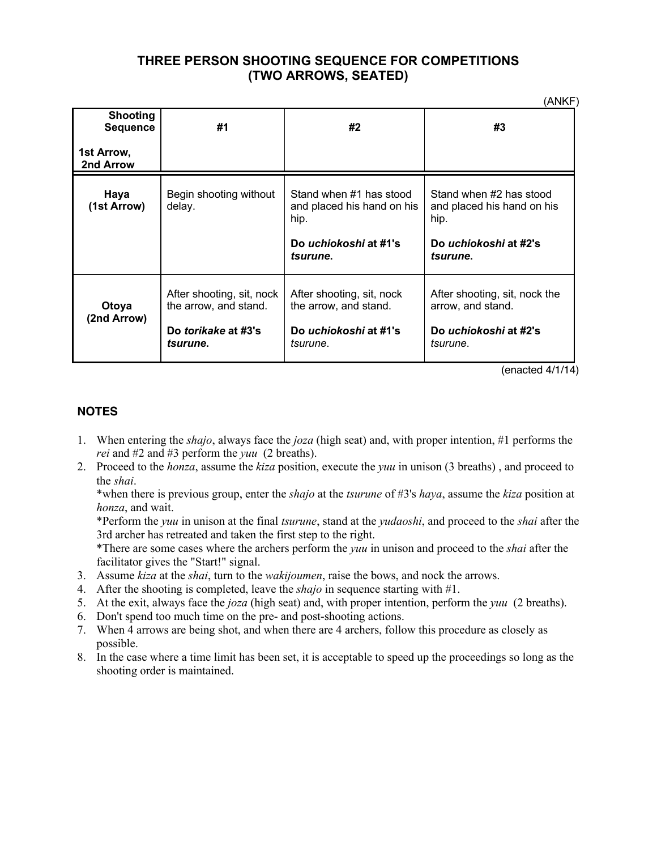## **THREE PERSON SHOOTING SEQUENCE FOR COMPETITIONS (TWO ARROWS, SEATED)**

(ANKF)

| <b>Shooting</b><br><b>Sequence</b> | #1                                                                                           | #2                                                                                                 | #3                                                                                                 |
|------------------------------------|----------------------------------------------------------------------------------------------|----------------------------------------------------------------------------------------------------|----------------------------------------------------------------------------------------------------|
| 1st Arrow,<br>2nd Arrow            |                                                                                              |                                                                                                    |                                                                                                    |
| Haya<br>(1st Arrow)                | Begin shooting without<br>delay.                                                             | Stand when #1 has stood<br>and placed his hand on his<br>hip.<br>Do uchiokoshi at #1's<br>tsurune. | Stand when #2 has stood<br>and placed his hand on his<br>hip.<br>Do uchiokoshi at #2's<br>tsurune. |
| Otoya<br>(2nd Arrow)               | After shooting, sit, nock<br>the arrow, and stand.<br>Do torikake at #3's<br><i>tsurune.</i> | After shooting, sit, nock<br>the arrow, and stand.<br>Do uchiokoshi at #1's<br>tsurune.            | After shooting, sit, nock the<br>arrow, and stand.<br>Do uchiokoshi at #2's<br>tsurune.            |

(enacted 4/1/14)

#### **NOTES**

- 1. When entering the *shajo*, always face the *joza* (high seat) and, with proper intention, #1 performs the *rei* and #2 and #3 perform the *yuu* (2 breaths).
- 2. Proceed to the *honza*, assume the *kiza* position, execute the *yuu* in unison (3 breaths) , and proceed to the *shai*.

\*when there is previous group, enter the *shajo* at the *tsurune* of #3's *haya*, assume the *kiza* position at *honza*, and wait.

\*Perform the *yuu* in unison at the final *tsurune*, stand at the *yudaoshi*, and proceed to the *shai* after the 3rd archer has retreated and taken the first step to the right.

\*There are some cases where the archers perform the *yuu* in unison and proceed to the *shai* after the facilitator gives the "Start!" signal.

- 3. Assume *kiza* at the *shai*, turn to the *wakijoumen*, raise the bows, and nock the arrows.
- 4. After the shooting is completed, leave the *shajo* in sequence starting with #1.
- 5. At the exit, always face the *joza* (high seat) and, with proper intention, perform the *yuu* (2 breaths).
- 6. Don't spend too much time on the pre- and post-shooting actions.
- 7. When 4 arrows are being shot, and when there are 4 archers, follow this procedure as closely as possible.
- 8. In the case where a time limit has been set, it is acceptable to speed up the proceedings so long as the shooting order is maintained.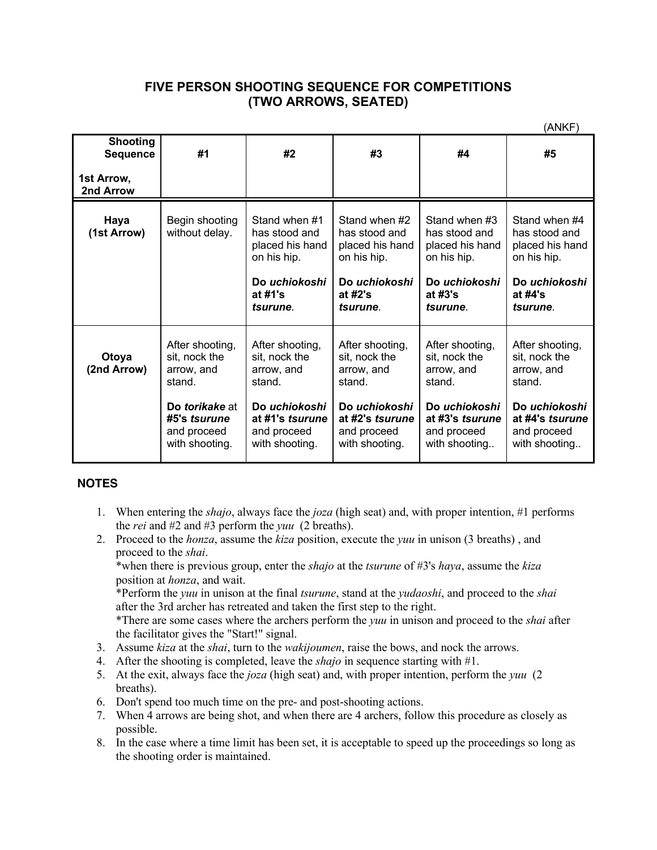### **FIVE PERSON SHOOTING SEQUENCE FOR COMPETITIONS (TWO ARROWS, SEATED)**

|                                    |                                                                                                                                    |                                                                                                                               |                                                                                                                               |                                                                                                                              | (ANKF)                                                                                                                       |
|------------------------------------|------------------------------------------------------------------------------------------------------------------------------------|-------------------------------------------------------------------------------------------------------------------------------|-------------------------------------------------------------------------------------------------------------------------------|------------------------------------------------------------------------------------------------------------------------------|------------------------------------------------------------------------------------------------------------------------------|
| <b>Shooting</b><br><b>Sequence</b> | #1                                                                                                                                 | #2                                                                                                                            | #3                                                                                                                            | #4                                                                                                                           | #5                                                                                                                           |
| 1st Arrow,<br>2nd Arrow            |                                                                                                                                    |                                                                                                                               |                                                                                                                               |                                                                                                                              |                                                                                                                              |
| Haya<br>(1st Arrow)                | Begin shooting<br>without delay.                                                                                                   | Stand when #1<br>has stood and<br>placed his hand<br>on his hip.<br>Do uchiokoshi<br>at #1's<br>tsurune.                      | Stand when #2<br>has stood and<br>placed his hand<br>on his hip.<br>Do uchiokoshi<br>at $#2's$<br>tsurune.                    | Stand when #3<br>has stood and<br>placed his hand<br>on his hip.<br>Do uchiokoshi<br>at $#3's$<br>tsurune.                   | Stand when #4<br>has stood and<br>placed his hand<br>on his hip.<br>Do uchiokoshi<br>at $#4's$<br>tsurune.                   |
| Otoya<br>(2nd Arrow)               | After shooting,<br>sit, nock the<br>arrow, and<br>stand.<br>Do <i>torikake</i> at<br>#5's tsurune<br>and proceed<br>with shooting. | After shooting,<br>sit, nock the<br>arrow, and<br>stand.<br>Do uchiokoshi<br>at #1's tsurune<br>and proceed<br>with shooting. | After shooting,<br>sit, nock the<br>arrow, and<br>stand.<br>Do uchiokoshi<br>at #2's tsurune<br>and proceed<br>with shooting. | After shooting,<br>sit, nock the<br>arrow, and<br>stand.<br>Do uchiokoshi<br>at #3's tsurune<br>and proceed<br>with shooting | After shooting,<br>sit, nock the<br>arrow, and<br>stand.<br>Do uchiokoshi<br>at #4's tsurune<br>and proceed<br>with shooting |

#### **NOTES**

- 1. When entering the *shajo*, always face the *joza* (high seat) and, with proper intention, #1 performs the *rei* and #2 and #3 perform the *yuu* (2 breaths).
- 2. Proceed to the *honza*, assume the *kiza* position, execute the *yuu* in unison (3 breaths) , and proceed to the *shai*.

\*when there is previous group, enter the *shajo* at the *tsurune* of #3's *haya*, assume the *kiza* position at *honza*, and wait.

\*Perform the *yuu* in unison at the final *tsurune*, stand at the *yudaoshi*, and proceed to the *shai*  after the 3rd archer has retreated and taken the first step to the right.

\*There are some cases where the archers perform the *yuu* in unison and proceed to the *shai* after the facilitator gives the "Start!" signal.

- 3. Assume *kiza* at the *shai*, turn to the *wakijoumen*, raise the bows, and nock the arrows.
- 4. After the shooting is completed, leave the *shajo* in sequence starting with #1.
- 5. At the exit, always face the *joza* (high seat) and, with proper intention, perform the *yuu* (2 breaths).
- 6. Don't spend too much time on the pre- and post-shooting actions.
- 7. When 4 arrows are being shot, and when there are 4 archers, follow this procedure as closely as possible.
- 8. In the case where a time limit has been set, it is acceptable to speed up the proceedings so long as the shooting order is maintained.

(ANKF)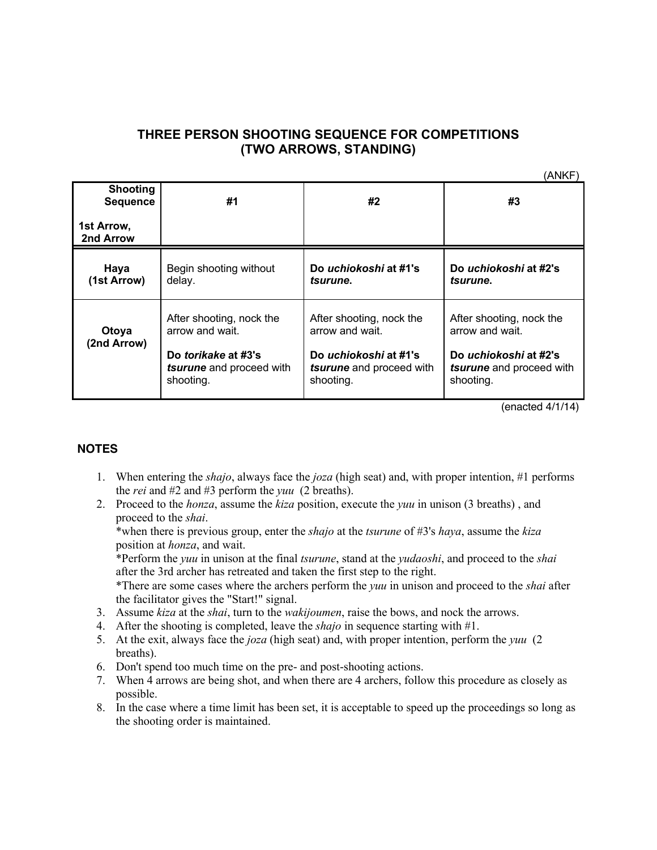# **THREE PERSON SHOOTING SEQUENCE FOR COMPETITIONS (TWO ARROWS, STANDING)**

(ANKF)

| <b>Shooting</b><br><b>Sequence</b> | #1                                                                                                          | #2                                                                                                            | #3                                                                                                            |  |
|------------------------------------|-------------------------------------------------------------------------------------------------------------|---------------------------------------------------------------------------------------------------------------|---------------------------------------------------------------------------------------------------------------|--|
| 1st Arrow,<br>2nd Arrow            |                                                                                                             |                                                                                                               |                                                                                                               |  |
| Haya<br>(1st Arrow)                | Begin shooting without<br>delay.                                                                            | Do uchiokoshi at #1's<br>tsurune.                                                                             | Do <i>uchiokoshi</i> at #2's<br>tsurune.                                                                      |  |
| Otoya<br>(2nd Arrow)               | After shooting, nock the<br>arrow and wait.<br>Do torikake at #3's<br>tsurune and proceed with<br>shooting. | After shooting, nock the<br>arrow and wait.<br>Do uchiokoshi at #1's<br>tsurune and proceed with<br>shooting. | After shooting, nock the<br>arrow and wait.<br>Do uchiokoshi at #2's<br>tsurune and proceed with<br>shooting. |  |

(enacted 4/1/14)

#### **NOTES**

- 1. When entering the *shajo*, always face the *joza* (high seat) and, with proper intention, #1 performs the *rei* and #2 and #3 perform the *yuu* (2 breaths).
- 2. Proceed to the *honza*, assume the *kiza* position, execute the *yuu* in unison (3 breaths) , and proceed to the *shai*.

\*when there is previous group, enter the *shajo* at the *tsurune* of #3's *haya*, assume the *kiza* position at *honza*, and wait.

\*Perform the *yuu* in unison at the final *tsurune*, stand at the *yudaoshi*, and proceed to the *shai*  after the 3rd archer has retreated and taken the first step to the right.

\*There are some cases where the archers perform the *yuu* in unison and proceed to the *shai* after the facilitator gives the "Start!" signal.

- 3. Assume *kiza* at the *shai*, turn to the *wakijoumen*, raise the bows, and nock the arrows.
- 4. After the shooting is completed, leave the *shajo* in sequence starting with #1.
- 5. At the exit, always face the *joza* (high seat) and, with proper intention, perform the *yuu* (2 breaths).
- 6. Don't spend too much time on the pre- and post-shooting actions.
- 7. When 4 arrows are being shot, and when there are 4 archers, follow this procedure as closely as possible.
- 8. In the case where a time limit has been set, it is acceptable to speed up the proceedings so long as the shooting order is maintained.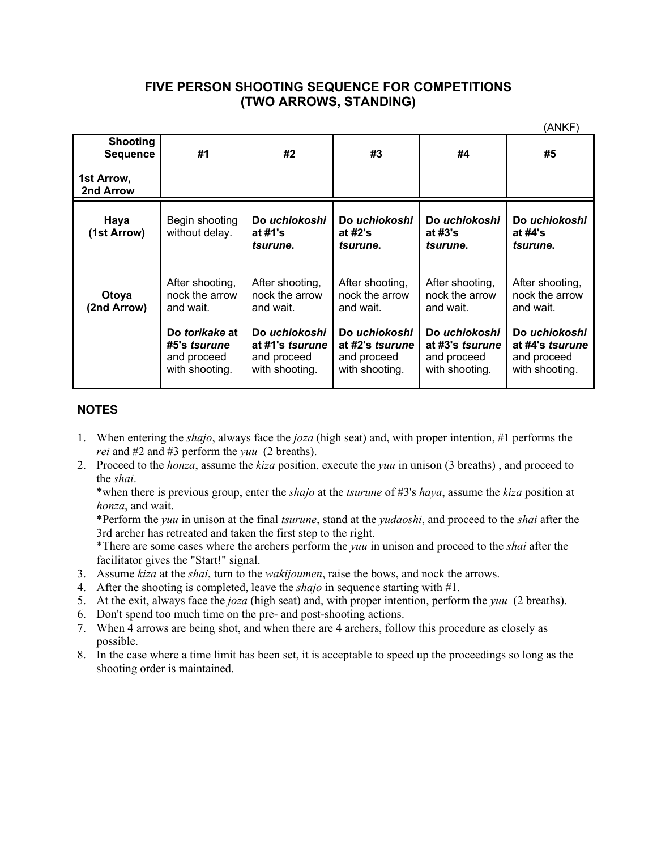### **FIVE PERSON SHOOTING SEQUENCE FOR COMPETITIONS (TWO ARROWS, STANDING)**

 $(0,0)$ 

|                                                  |                                                                 |                                                                   |                                                                   |                                                                   | (ANKF)                                                            |
|--------------------------------------------------|-----------------------------------------------------------------|-------------------------------------------------------------------|-------------------------------------------------------------------|-------------------------------------------------------------------|-------------------------------------------------------------------|
| <b>Shooting</b><br><b>Sequence</b><br>1st Arrow, | #1                                                              | #2                                                                | #3                                                                | #4                                                                | #5                                                                |
| 2nd Arrow                                        |                                                                 |                                                                   |                                                                   |                                                                   |                                                                   |
| Haya<br>(1st Arrow)                              | Begin shooting<br>without delay.                                | Do uchiokoshi<br>at $#1's$<br>tsurune.                            | Do uchiokoshi<br>at $#2's$<br>tsurune.                            | Do uchiokoshi<br>at #3's<br>tsurune.                              | Do uchiokoshi<br>at #4's<br>tsurune.                              |
| Otoya<br>(2nd Arrow)                             | After shooting,<br>nock the arrow<br>and wait.                  | After shooting,<br>nock the arrow<br>and wait.                    | After shooting,<br>nock the arrow<br>and wait.                    | After shooting,<br>nock the arrow<br>and wait.                    | After shooting,<br>nock the arrow<br>and wait.                    |
|                                                  | Do torikake at<br>#5's tsurune<br>and proceed<br>with shooting. | Do uchiokoshi<br>at #1's tsurune<br>and proceed<br>with shooting. | Do uchiokoshi<br>at #2's tsurune<br>and proceed<br>with shooting. | Do uchiokoshi<br>at #3's tsurune<br>and proceed<br>with shooting. | Do uchiokoshi<br>at #4's tsurune<br>and proceed<br>with shooting. |

### **NOTES**

- 1. When entering the *shajo*, always face the *joza* (high seat) and, with proper intention, #1 performs the *rei* and #2 and #3 perform the *yuu* (2 breaths).
- 2. Proceed to the *honza*, assume the *kiza* position, execute the *yuu* in unison (3 breaths) , and proceed to the *shai*.

\*when there is previous group, enter the *shajo* at the *tsurune* of #3's *haya*, assume the *kiza* position at *honza*, and wait.

\*Perform the *yuu* in unison at the final *tsurune*, stand at the *yudaoshi*, and proceed to the *shai* after the 3rd archer has retreated and taken the first step to the right.

\*There are some cases where the archers perform the *yuu* in unison and proceed to the *shai* after the facilitator gives the "Start!" signal.

- 3. Assume *kiza* at the *shai*, turn to the *wakijoumen*, raise the bows, and nock the arrows.
- 4. After the shooting is completed, leave the *shajo* in sequence starting with #1.
- 5. At the exit, always face the *joza* (high seat) and, with proper intention, perform the *yuu* (2 breaths).
- 6. Don't spend too much time on the pre- and post-shooting actions.
- 7. When 4 arrows are being shot, and when there are 4 archers, follow this procedure as closely as possible.
- 8. In the case where a time limit has been set, it is acceptable to speed up the proceedings so long as the shooting order is maintained.